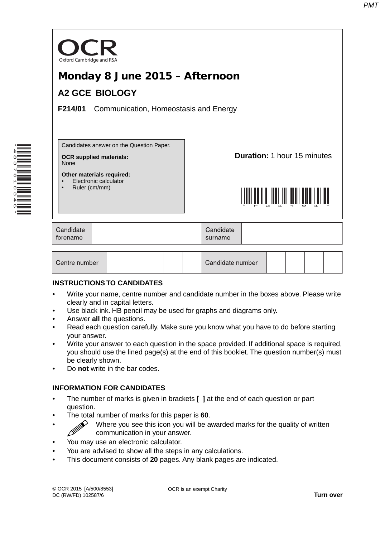

| Centre number |  |  | Candidate number |  |  |
|---------------|--|--|------------------|--|--|
|               |  |  |                  |  |  |

### **INSTRUCTIONS TO CANDIDATES**

- Write your name, centre number and candidate number in the boxes above. Please write clearly and in capital letters.
- Use black ink. HB pencil may be used for graphs and diagrams only.
- Answer **all** the questions.

\*4837010346\*

- Read each question carefully. Make sure you know what you have to do before starting your answer.
- Write your answer to each question in the space provided. If additional space is required, you should use the lined page(s) at the end of this booklet. The question number(s) must be clearly shown.
- Do **not** write in the bar codes.

# **INFORMATION FOR CANDIDATES**

- The number of marks is given in brackets **[ ]** at the end of each question or part question.
- The total number of marks for this paper is **60**.
- $\gg$  Where you see this icon you will be awarded marks for the quality of written communication in your answer.
- You may use an electronic calculator.
- You are advised to show all the steps in any calculations.
- This document consists of **20** pages. Any blank pages are indicated.

OCR is an exempt Charity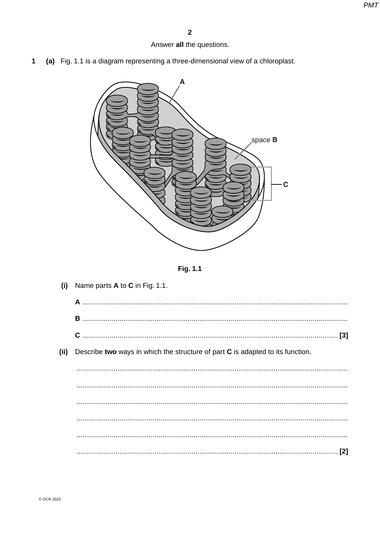# Answer all the questions.

(a) Fig. 1.1 is a diagram representing a three-dimensional view of a chloroplast.  $\mathbf{1}$ 





| (i)   | Name parts $A$ to $C$ in Fig. 1.1.                                             |
|-------|--------------------------------------------------------------------------------|
|       |                                                                                |
|       |                                                                                |
|       |                                                                                |
| (iii) | Describe two ways in which the structure of part C is adapted to its function. |
|       |                                                                                |
|       |                                                                                |
|       |                                                                                |
|       |                                                                                |
|       |                                                                                |
|       |                                                                                |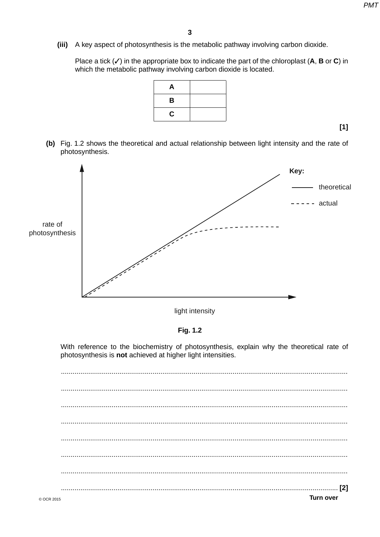(iii) A key aspect of photosynthesis is the metabolic pathway involving carbon dioxide.

Place a tick  $(V)$  in the appropriate box to indicate the part of the chloroplast (A, B or C) in which the metabolic pathway involving carbon dioxide is located.

| A |  |
|---|--|
| B |  |
| C |  |

 $[1]$ 

(b) Fig. 1.2 shows the theoretical and actual relationship between light intensity and the rate of photosynthesis.



light intensity

Fig. 1.2

With reference to the biochemistry of photosynthesis, explain why the theoretical rate of photosynthesis is not achieved at higher light intensities.

**Turn over**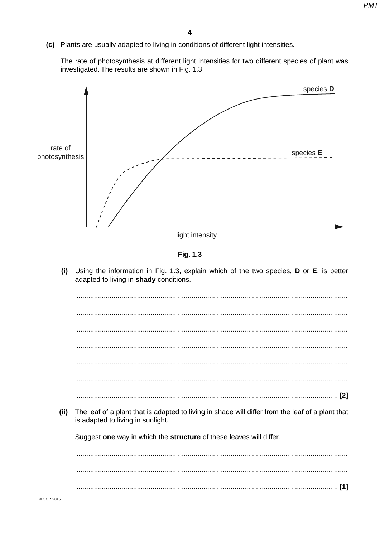(c) Plants are usually adapted to living in conditions of different light intensities.

The rate of photosynthesis at different light intensities for two different species of plant was investigated. The results are shown in Fig. 1.3.



light intensity

Fig. 1.3

(i) Using the information in Fig. 1.3, explain which of the two species, D or E, is better adapted to living in shady conditions.

The leaf of a plant that is adapted to living in shade will differ from the leaf of a plant that  $(ii)$ is adapted to living in sunlight. Suggest one way in which the structure of these leaves will differ.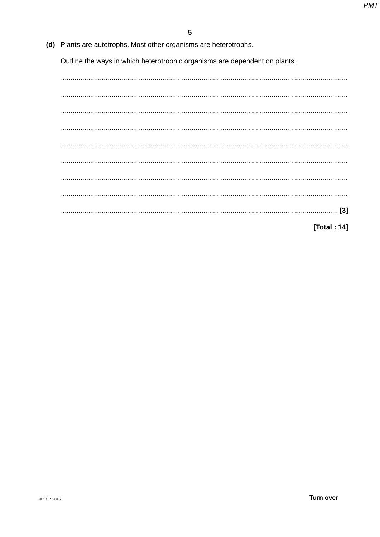(d) Plants are autotrophs. Most other organisms are heterotrophs.

Outline the ways in which heterotrophic organisms are dependent on plants.

[Total: 14]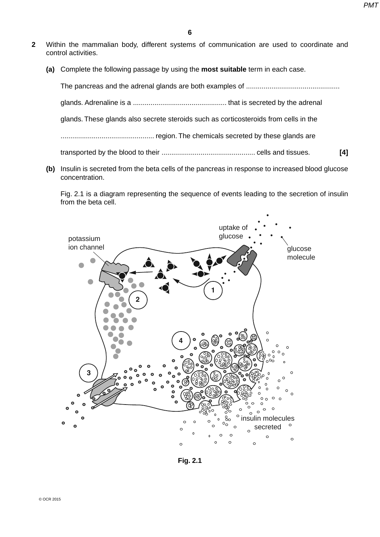- **2** Within the mammalian body, different systems of communication are used to coordinate and control activities.
	- **(a)** Complete the following passage by using the **most suitable** term in each case.

The pancreas and the adrenal glands are both examples of ................................................ glands. Adrenaline is a ................................................ that is secreted by the adrenal glands. These glands also secrete steroids such as corticosteroids from cells in the ................................................ region. The chemicals secreted by these glands are transported by the blood to their ................................................ cells and tissues. **[4]**

 **(b)** Insulin is secreted from the beta cells of the pancreas in response to increased blood glucose concentration.

Fig. 2.1 is a diagram representing the sequence of events leading to the secretion of insulin from the beta cell.



**Fig. 2.1**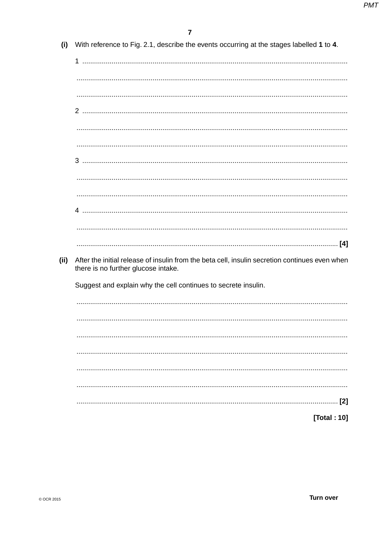| (i)  | With reference to Fig. 2.1, describe the events occurring at the stages labelled 1 to 4.                                              |
|------|---------------------------------------------------------------------------------------------------------------------------------------|
|      |                                                                                                                                       |
|      |                                                                                                                                       |
|      |                                                                                                                                       |
|      |                                                                                                                                       |
|      |                                                                                                                                       |
|      |                                                                                                                                       |
|      |                                                                                                                                       |
|      |                                                                                                                                       |
|      |                                                                                                                                       |
|      |                                                                                                                                       |
|      |                                                                                                                                       |
|      |                                                                                                                                       |
|      |                                                                                                                                       |
|      |                                                                                                                                       |
| (ii) | After the initial release of insulin from the beta cell, insulin secretion continues even when<br>there is no further glucose intake. |
|      | Suggest and explain why the cell continues to secrete insulin.                                                                        |
|      |                                                                                                                                       |
|      |                                                                                                                                       |
|      |                                                                                                                                       |
|      |                                                                                                                                       |
|      |                                                                                                                                       |
|      |                                                                                                                                       |

[Total: 10]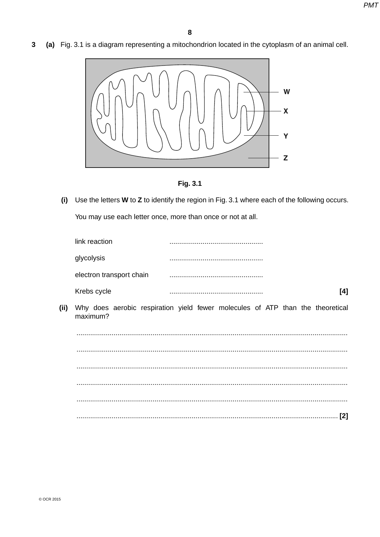(a) Fig. 3.1 is a diagram representing a mitochondrion located in the cytoplasm of an animal cell. 3



Fig. 3.1

(i) Use the letters W to Z to identify the region in Fig. 3.1 where each of the following occurs. You may use each letter once, more than once or not at all.

| link reaction            |  |
|--------------------------|--|
| glycolysis               |  |
| electron transport chain |  |
| Krebs cycle              |  |

Why does aerobic respiration yield fewer molecules of ATP than the theoretical  $(ii)$ maximum?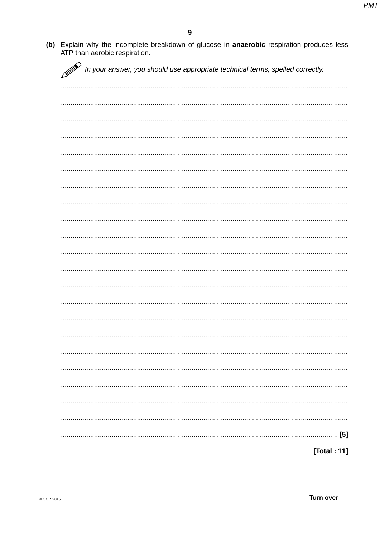(b) Explain why the incomplete breakdown of glucose in anaerobic respiration produces less ATP than aerobic respiration.

|  |  | In your answer, you should use appropriate technical terms, spelled correctly. |             |
|--|--|--------------------------------------------------------------------------------|-------------|
|  |  |                                                                                |             |
|  |  |                                                                                |             |
|  |  |                                                                                |             |
|  |  |                                                                                |             |
|  |  |                                                                                |             |
|  |  |                                                                                |             |
|  |  |                                                                                |             |
|  |  |                                                                                |             |
|  |  |                                                                                |             |
|  |  |                                                                                |             |
|  |  |                                                                                |             |
|  |  |                                                                                |             |
|  |  |                                                                                |             |
|  |  |                                                                                |             |
|  |  |                                                                                |             |
|  |  |                                                                                |             |
|  |  |                                                                                |             |
|  |  |                                                                                |             |
|  |  |                                                                                |             |
|  |  |                                                                                | [5]         |
|  |  |                                                                                | [Total: 11] |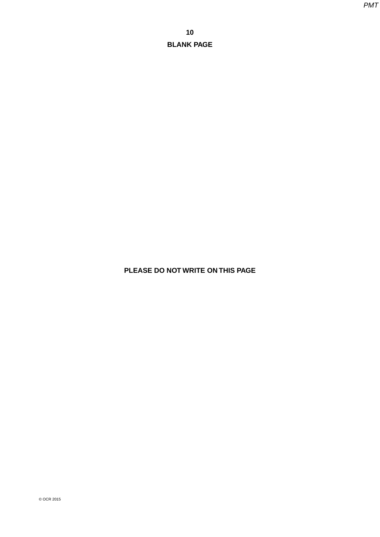**PLEASE DO NOT WRITE ON THIS PAGE**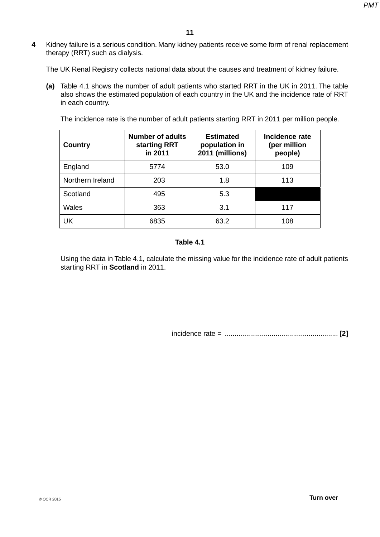**4** Kidney failure is a serious condition. Many kidney patients receive some form of renal replacement therapy (RRT) such as dialysis.

The UK Renal Registry collects national data about the causes and treatment of kidney failure.

 **(a)** Table 4.1 shows the number of adult patients who started RRT in the UK in 2011. The table also shows the estimated population of each country in the UK and the incidence rate of RRT in each country.

The incidence rate is the number of adult patients starting RRT in 2011 per million people.

| <b>Country</b>   | <b>Number of adults</b><br>starting RRT<br>in 2011 | <b>Estimated</b><br>population in<br>2011 (millions) | Incidence rate<br>(per million<br>people) |
|------------------|----------------------------------------------------|------------------------------------------------------|-------------------------------------------|
| England          | 5774                                               | 53.0                                                 | 109                                       |
| Northern Ireland | 203                                                | 1.8                                                  | 113                                       |
| Scotland         | 495                                                | 5.3                                                  |                                           |
| Wales            | 363                                                | 3.1                                                  | 117                                       |
| UK               | 6835                                               | 63.2                                                 | 108                                       |

### **Table 4.1**

Using the data in Table 4.1, calculate the missing value for the incidence rate of adult patients starting RRT in **Scotland** in 2011.

incidence rate = .......................................................... **[2]**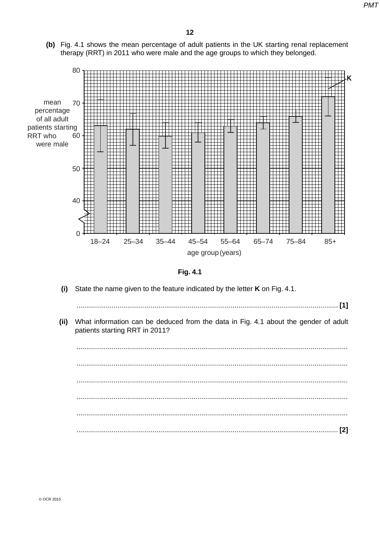PM<sub>7</sub>

(b) Fig. 4.1 shows the mean percentage of adult patients in the UK starting renal replacement therapy (RRT) in 2011 who were male and the age groups to which they belonged.



Fig. 4.1

- $(i)$ State the name given to the feature indicated by the letter K on Fig. 4.1.
- $(ii)$ What information can be deduced from the data in Fig. 4.1 about the gender of adult patients starting RRT in 2011?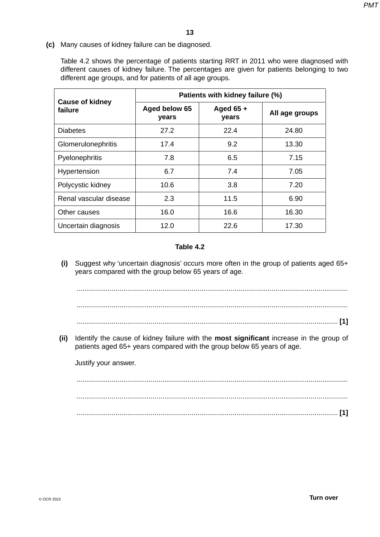**(c)** Many causes of kidney failure can be diagnosed.

Table 4.2 shows the percentage of patients starting RRT in 2011 who were diagnosed with different causes of kidney failure. The percentages are given for patients belonging to two different age groups, and for patients of all age groups.

|                                   | Patients with kidney failure (%) |                      |                |  |  |  |
|-----------------------------------|----------------------------------|----------------------|----------------|--|--|--|
| <b>Cause of kidney</b><br>failure | Aged below 65<br>years           | Aged $65 +$<br>years | All age groups |  |  |  |
| <b>Diabetes</b>                   | 27.2                             | 22.4                 | 24.80          |  |  |  |
| Glomerulonephritis                | 17.4                             | 9.2                  | 13.30          |  |  |  |
| Pyelonephritis                    | 7.8                              | 6.5                  | 7.15           |  |  |  |
| Hypertension                      | 6.7                              | 7.4                  | 7.05           |  |  |  |
| Polycystic kidney                 | 10.6                             | 3.8                  | 7.20           |  |  |  |
| Renal vascular disease            | 2.3                              | 11.5                 | 6.90           |  |  |  |
| Other causes                      | 16.0                             | 16.6                 | 16.30          |  |  |  |
| Uncertain diagnosis               | 12.0                             | 22.6                 | 17.30          |  |  |  |

## **Table 4.2**

 **(i)** Suggest why 'uncertain diagnosis' occurs more often in the group of patients aged 65+ years compared with the group below 65 years of age.

 ........................................................................................................................................... ........................................................................................................................................... ...................................................................................................................................... **[1]**

 **(ii)** Identify the cause of kidney failure with the **most significant** increase in the group of patients aged 65+ years compared with the group below 65 years of age.

Justify your answer.

 ........................................................................................................................................... ........................................................................................................................................... ...................................................................................................................................... **[1]**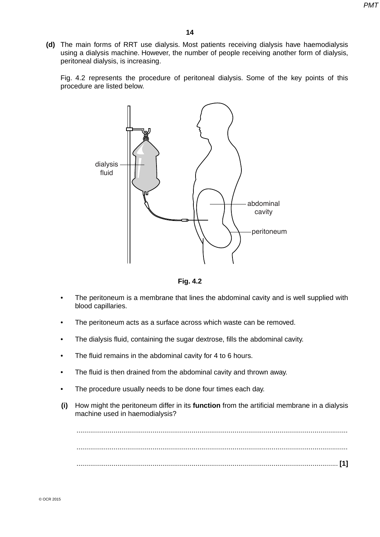**(d)** The main forms of RRT use dialysis. Most patients receiving dialysis have haemodialysis using a dialysis machine. However, the number of people receiving another form of dialysis, peritoneal dialysis, is increasing.

Fig. 4.2 represents the procedure of peritoneal dialysis. Some of the key points of this procedure are listed below.





- The peritoneum is a membrane that lines the abdominal cavity and is well supplied with blood capillaries.
- The peritoneum acts as a surface across which waste can be removed.
- The dialysis fluid, containing the sugar dextrose, fills the abdominal cavity.
- The fluid remains in the abdominal cavity for 4 to 6 hours.
- The fluid is then drained from the abdominal cavity and thrown away.
- The procedure usually needs to be done four times each day.
- **(i)** How might the peritoneum differ in its **function** from the artificial membrane in a dialysis machine used in haemodialysis?

 ........................................................................................................................................... ........................................................................................................................................... ...................................................................................................................................... **[1]**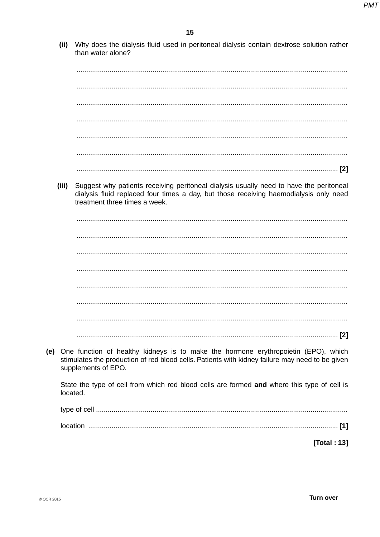(ii) Why does the dialysis fluid used in peritoneal dialysis contain dextrose solution rather than water alone?

(iii) Suggest why patients receiving peritoneal dialysis usually need to have the peritoneal dialysis fluid replaced four times a day, but those receiving haemodialysis only need treatment three times a week.

(e) One function of healthy kidneys is to make the hormone erythropoietin (EPO), which stimulates the production of red blood cells. Patients with kidney failure may need to be given supplements of EPO.

State the type of cell from which red blood cells are formed and where this type of cell is located.

[Total: 13]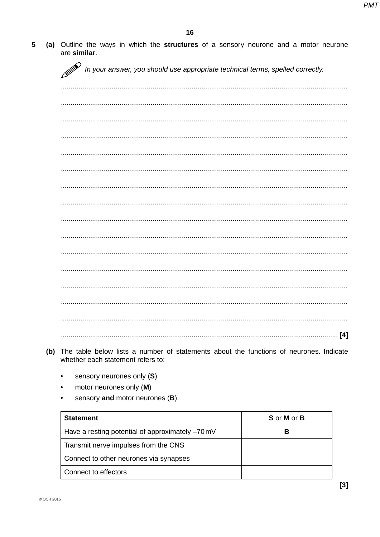(a) Outline the ways in which the structures of a sensory neurone and a motor neurone 5 are similar.

D In your answer, you should use appropriate technical terms, spelled correctly.

- (b) The table below lists a number of statements about the functions of neurones. Indicate whether each statement refers to:
	- sensory neurones only (S)  $\bullet$
	- motor neurones only (M)  $\bullet$
	- sensory and motor neurones (B).

| <b>Statement</b>                                 | S or M or B |
|--------------------------------------------------|-------------|
| Have a resting potential of approximately -70 mV | в           |
| Transmit nerve impulses from the CNS             |             |
| Connect to other neurones via synapses           |             |
| Connect to effectors                             |             |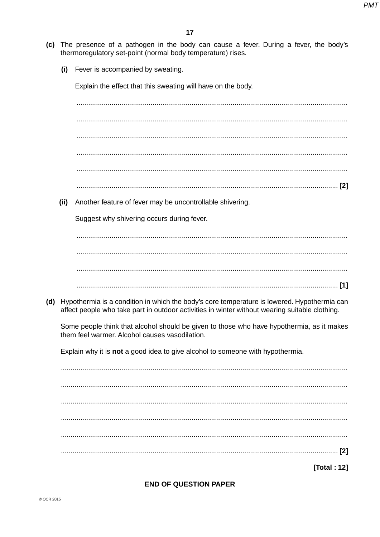- (c) The presence of a pathogen in the body can cause a fever. During a fever, the body's thermoregulatory set-point (normal body temperature) rises.
	- Fever is accompanied by sweating.  $(i)$

Explain the effect that this sweating will have on the body.

(ii) Another feature of fever may be uncontrollable shivering.

Suggest why shivering occurs during fever.

(d) Hypothermia is a condition in which the body's core temperature is lowered. Hypothermia can affect people who take part in outdoor activities in winter without wearing suitable clothing.

Some people think that alcohol should be given to those who have hypothermia, as it makes them feel warmer. Alcohol causes vasodilation.

Explain why it is not a good idea to give alcohol to someone with hypothermia.

[Total: 12]

**END OF QUESTION PAPER**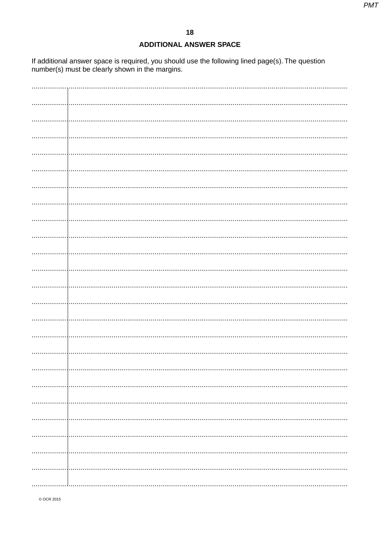#### **ADDITIONAL ANSWER SPACE**

If additional answer space is required, you should use the following lined page(s). The question number(s) must be clearly shown in the margins.

| . |  |
|---|--|
|   |  |
|   |  |
|   |  |
|   |  |
|   |  |
|   |  |